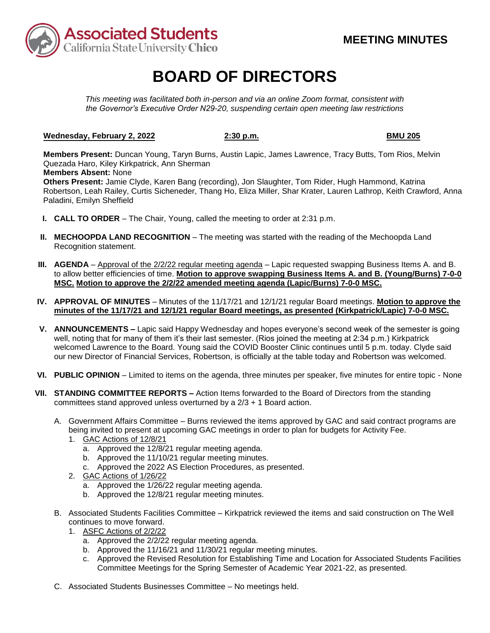

# **BOARD OF DIRECTORS**

*This meeting was facilitated both in-person and via an online Zoom format, consistent with the Governor's Executive Order N29-20, suspending certain open meeting law restrictions* 

### **Wednesday, February 2, 2022 2:30 p.m. BMU 205**

2:30 p.m.

**Members Present:** Duncan Young, Taryn Burns, Austin Lapic, James Lawrence, Tracy Butts, Tom Rios, Melvin Quezada Haro, Kiley Kirkpatrick, Ann Sherman

### **Members Absent:** None

**Others Present:** Jamie Clyde, Karen Bang (recording), Jon Slaughter, Tom Rider, Hugh Hammond, Katrina Robertson, Leah Railey, Curtis Sicheneder, Thang Ho, Eliza Miller, Shar Krater, Lauren Lathrop, Keith Crawford, Anna Paladini, Emilyn Sheffield

- **I. CALL TO ORDER**  The Chair, Young, called the meeting to order at 2:31 p.m.
- **II. MECHOOPDA LAND RECOGNITION** The meeting was started with the reading of the Mechoopda Land Recognition statement.
- **III.** AGENDA Approval of the 2/2/22 regular meeting agenda Lapic requested swapping Business Items A. and B. to allow better efficiencies of time. **Motion to approve swapping Business Items A. and B. (Young/Burns) 7-0-0 MSC. Motion to approve the 2/2/22 amended meeting agenda (Lapic/Burns) 7-0-0 MSC.**
- **minutes of the 11/17/21 and 12/1/21 regular Board meetings, as presented (Kirkpatrick/Lapic) 7-0-0 MSC. IV. APPROVAL OF MINUTES** – Minutes of the 11/17/21 and 12/1/21 regular Board meetings. **Motion to approve the**
- **V. ANNOUNCEMENTS –** Lapic said Happy Wednesday and hopes everyone's second week of the semester is going well, noting that for many of them it's their last semester. (Rios joined the meeting at 2:34 p.m.) Kirkpatrick welcomed Lawrence to the Board. Young said the COVID Booster Clinic continues until 5 p.m. today. Clyde said our new Director of Financial Services, Robertson, is officially at the table today and Robertson was welcomed.
- **VI. PUBLIC OPINION**  Limited to items on the agenda, three minutes per speaker, five minutes for entire topic None
- **VII. STANDING COMMITTEE REPORTS –** Action Items forwarded to the Board of Directors from the standing committees stand approved unless overturned by a 2/3 + 1 Board action.
	- A. Government Affairs Committee Burns reviewed the items approved by GAC and said contract programs are being invited to present at upcoming GAC meetings in order to plan for budgets for Activity Fee.
		- 1. GAC Actions of 12/8/21
			- a. Approved the 12/8/21 regular meeting agenda.
			- b. Approved the 11/10/21 regular meeting minutes.
			- c. Approved the 2022 AS Election Procedures, as presented.
		- 2. GAC Actions of 1/26/22
			- a. Approved the 1/26/22 regular meeting agenda.
			- b. Approved the 12/8/21 regular meeting minutes.
	- B. Associated Students Facilities Committee Kirkpatrick reviewed the items and said construction on The Well continues to move forward.
		- 1. ASFC Actions of 2/2/22
			- a. Approved the 2/2/22 regular meeting agenda.
			- b. Approved the 11/16/21 and 11/30/21 regular meeting minutes.
			- c. Approved the Revised Resolution for Establishing Time and Location for Associated Students Facilities Committee Meetings for the Spring Semester of Academic Year 2021-22, as presented.
	- C. Associated Students Businesses Committee No meetings held.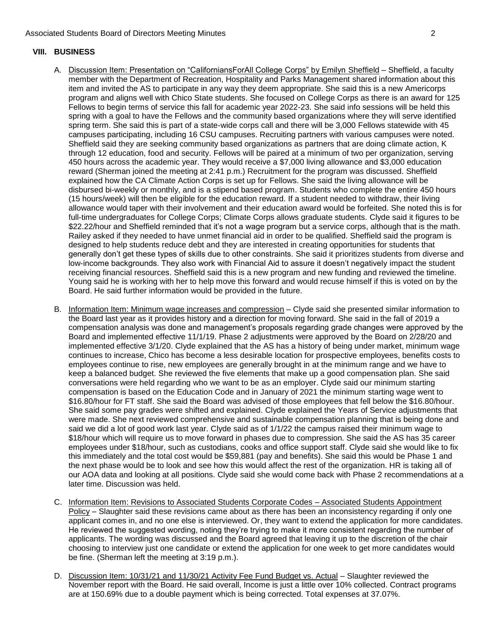## **VIII. BUSINESS**

- item and invited the AS to participate in any way they deem appropriate. She said this is a new Americorps program and aligns well with Chico State students. She focused on College Corps as there is an award for 125 spring with a goal to have the Fellows and the community based organizations where they will serve identified spring term. She said this is part of a state-wide corps call and there will be 3,000 Fellows statewide with 45 through 12 education, food and security. Fellows will be paired at a minimum of two per organization, serving 450 hours across the academic year. They would receive a \$7,000 living allowance and \$3,000 education explained how the CA Climate Action Corps is set up for Fellows. She said the living allowance will be disbursed bi-weekly or monthly, and is a stipend based program. Students who complete the entire 450 hours (15 hours/week) will then be eligible for the education reward. If a student needed to withdraw, their living allowance would taper with their involvement and their education award would be forfeited. She noted this is for low-income backgrounds. They also work with Financial Aid to assure it doesn't negatively impact the student Young said he is working with her to help move this forward and would recuse himself if this is voted on by the A. Discussion Item: Presentation on "CaliforniansForAll College Corps" by Emilyn Sheffield - Sheffield, a faculty member with the Department of Recreation, Hospitality and Parks Management shared information about this Fellows to begin terms of service this fall for academic year 2022-23. She said info sessions will be held this campuses participating, including 16 CSU campuses. Recruiting partners with various campuses were noted. Sheffield said they are seeking community based organizations as partners that are doing climate action, K reward (Sherman joined the meeting at 2:41 p.m.) Recruitment for the program was discussed. Sheffield full-time undergraduates for College Corps; Climate Corps allows graduate students. Clyde said it figures to be \$22.22/hour and Sheffield reminded that it's not a wage program but a service corps, although that is the math. Railey asked if they needed to have unmet financial aid in order to be qualified. Sheffield said the program is designed to help students reduce debt and they are interested in creating opportunities for students that generally don't get these types of skills due to other constraints. She said it prioritizes students from diverse and receiving financial resources. Sheffield said this is a new program and new funding and reviewed the timeline. Board. He said further information would be provided in the future.
- Board and implemented effective 11/1/19. Phase 2 adjustments were approved by the Board on 2/28/20 and this immediately and the total cost would be \$59,881 (pay and benefits). She said this would be Phase 1 and our AOA data and looking at all positions. Clyde said she would come back with Phase 2 recommendations at a B. Information Item: Minimum wage increases and compression – Clyde said she presented similar information to the Board last year as it provides history and a direction for moving forward. She said in the fall of 2019 a compensation analysis was done and management's proposals regarding grade changes were approved by the implemented effective 3/1/20. Clyde explained that the AS has a history of being under market, minimum wage continues to increase, Chico has become a less desirable location for prospective employees, benefits costs to employees continue to rise, new employees are generally brought in at the minimum range and we have to keep a balanced budget. She reviewed the five elements that make up a good compensation plan. She said conversations were held regarding who we want to be as an employer. Clyde said our minimum starting compensation is based on the Education Code and in January of 2021 the minimum starting wage went to \$16.80/hour for FT staff. She said the Board was advised of those employees that fell below the \$16.80/hour. She said some pay grades were shifted and explained. Clyde explained the Years of Service adjustments that were made. She next reviewed comprehensive and sustainable compensation planning that is being done and said we did a lot of good work last year. Clyde said as of  $1/1/22$  the campus raised their minimum wage to \$18/hour which will require us to move forward in phases due to compression. She said the AS has 35 career employees under \$18/hour, such as custodians, cooks and office support staff. Clyde said she would like to fix the next phase would be to look and see how this would affect the rest of the organization. HR is taking all of later time. Discussion was held.
- Policy Slaughter said these revisions came about as there has been an inconsistency regarding if only one choosing to interview just one candidate or extend the application for one week to get more candidates would C. Information Item: Revisions to Associated Students Corporate Codes – Associated Students Appointment applicant comes in, and no one else is interviewed. Or, they want to extend the application for more candidates. He reviewed the suggested wording, noting they're trying to make it more consistent regarding the number of applicants. The wording was discussed and the Board agreed that leaving it up to the discretion of the chair be fine. (Sherman left the meeting at 3:19 p.m.).
- D. Discussion Item: 10/31/21 and 11/30/21 Activity Fee Fund Budget vs. Actual Slaughter reviewed the November report with the Board. He said overall, Income is just a little over 10% collected. Contract programs are at 150.69% due to a double payment which is being corrected. Total expenses at 37.07%.